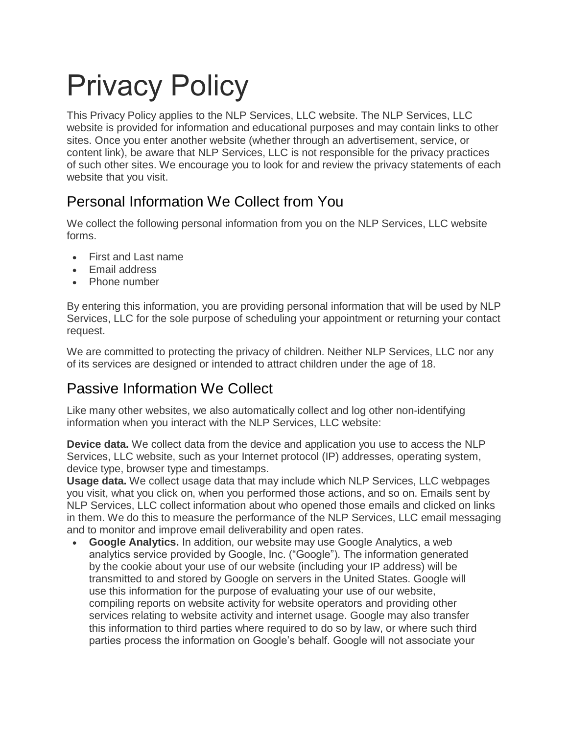# Privacy Policy

This Privacy Policy applies to the NLP Services, LLC website. The NLP Services, LLC website is provided for information and educational purposes and may contain links to other sites. Once you enter another website (whether through an advertisement, service, or content link), be aware that NLP Services, LLC is not responsible for the privacy practices of such other sites. We encourage you to look for and review the privacy statements of each website that you visit.

## Personal Information We Collect from You

We collect the following personal information from you on the NLP Services, LLC website forms.

- First and Last name
- Email address
- Phone number

By entering this information, you are providing personal information that will be used by NLP Services, LLC for the sole purpose of scheduling your appointment or returning your contact request.

We are committed to protecting the privacy of children. Neither NLP Services, LLC nor any of its services are designed or intended to attract children under the age of 18.

## Passive Information We Collect

Like many other websites, we also automatically collect and log other non-identifying information when you interact with the NLP Services, LLC website:

**Device data.** We collect data from the device and application you use to access the NLP Services, LLC website, such as your Internet protocol (IP) addresses, operating system, device type, browser type and timestamps.

**Usage data.** We collect usage data that may include which NLP Services, LLC webpages you visit, what you click on, when you performed those actions, and so on. Emails sent by NLP Services, LLC collect information about who opened those emails and clicked on links in them. We do this to measure the performance of the NLP Services, LLC email messaging and to monitor and improve email deliverability and open rates.

• **Google Analytics.** In addition, our website may use Google Analytics, a web analytics service provided by Google, Inc. ("Google"). The information generated by the cookie about your use of our website (including your IP address) will be transmitted to and stored by Google on servers in the United States. Google will use this information for the purpose of evaluating your use of our website, compiling reports on website activity for website operators and providing other services relating to website activity and internet usage. Google may also transfer this information to third parties where required to do so by law, or where such third parties process the information on Google's behalf. Google will not associate your